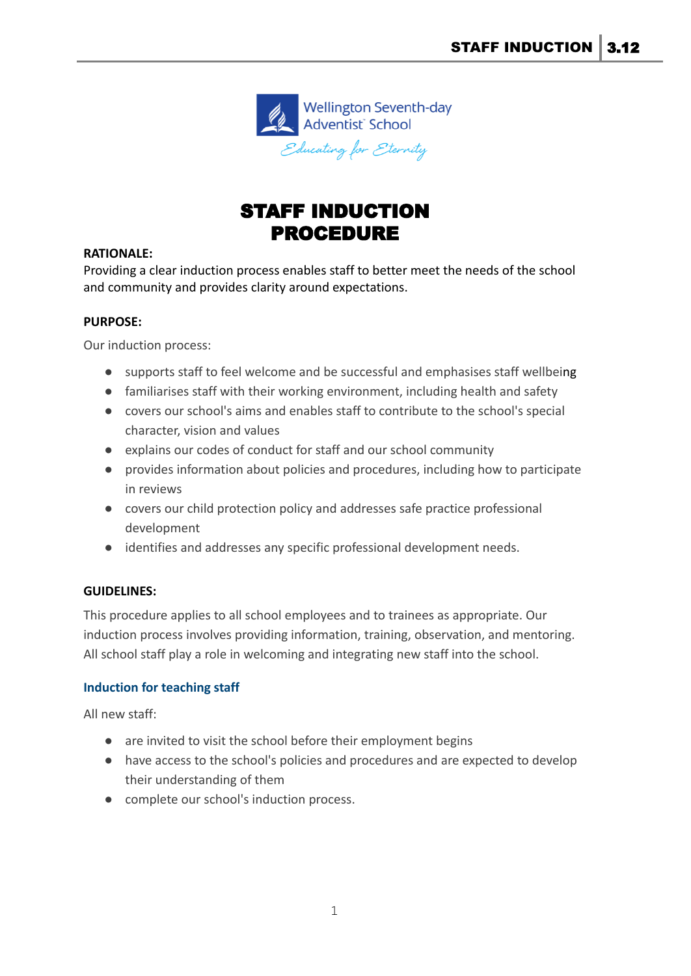

# STAFF INDUCTION PROCEDURE

## **RATIONALE:**

Providing a clear induction process enables staff to better meet the needs of the school and community and provides clarity around expectations.

## **PURPOSE:**

Our induction process:

- supports staff to feel welcome and be successful and emphasises staff wellbeing
- familiarises staff with their working environment, including health and safety
- covers our school's aims and enables staff to contribute to the school's special character, vision and values
- explains our codes of conduct for staff and our school community
- provides information about policies and procedures, including how to participate in reviews
- covers our child protection policy and addresses safe practice professional development
- identifies and addresses any specific professional development needs.

# **GUIDELINES:**

This procedure applies to all school employees and to trainees as appropriate. Our induction process involves providing information, training, observation, and mentoring. All school staff play a role in welcoming and integrating new staff into the school.

# **Induction for teaching staff**

All new staff:

- are invited to visit the school before their employment begins
- have access to the school's policies and procedures and are expected to develop their understanding of them
- complete our school's induction process.